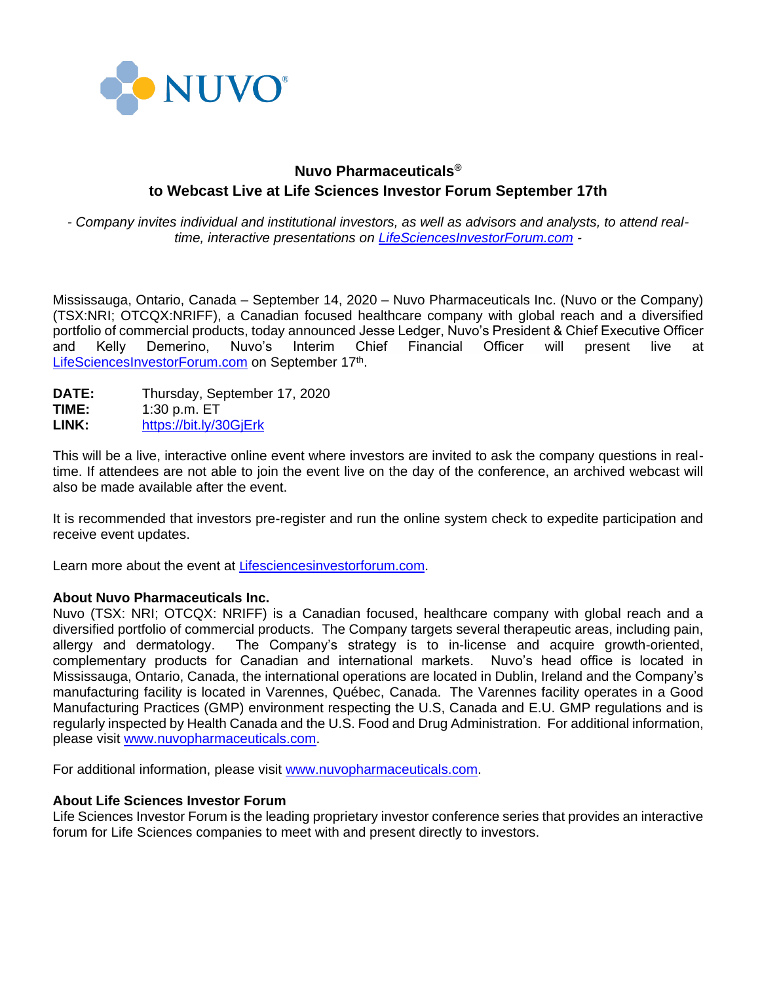

## **Nuvo Pharmaceuticals® to Webcast Live at Life Sciences Investor Forum September 17th**

*- Company invites individual and institutional investors, as well as advisors and analysts, to attend realtime, interactive presentations on [LifeSciencesInvestorForum.com](https://www.lifesciencesinvestorforum.com/) -*

Mississauga, Ontario, Canada – September 14, 2020 – Nuvo Pharmaceuticals Inc. (Nuvo or the Company) (TSX:NRI; OTCQX:NRIFF), a Canadian focused healthcare company with global reach and a diversified portfolio of commercial products, today announced Jesse Ledger, Nuvo's President & Chief Executive Officer and Kelly Demerino, Nuvo's Interim Chief Financial Officer will present live at [LifeSciencesInvestorForum.com](https://www.lifesciencesinvestorforum.com/)</u> on September 17<sup>th</sup>.

| <b>DATE:</b> | Thursday, September 17, 2020 |
|--------------|------------------------------|
| TIME:        | 1:30 p.m. $ET$               |
| LINK:        | https://bit.ly/30GjErk       |

This will be a live, interactive online event where investors are invited to ask the company questions in realtime. If attendees are not able to join the event live on the day of the conference, an archived webcast will also be made available after the event.

It is recommended that investors pre-register and run the online system check to expedite participation and receive event updates.

Learn more about the event at L[ifesciencesinvestorforum.com.](https://www.lifesciencesinvestorforum.com/)

## **About Nuvo Pharmaceuticals Inc.**

Nuvo (TSX: NRI; OTCQX: NRIFF) is a Canadian focused, healthcare company with global reach and a diversified portfolio of commercial products. The Company targets several therapeutic areas, including pain, allergy and dermatology. The Company's strategy is to in-license and acquire growth-oriented, complementary products for Canadian and international markets. Nuvo's head office is located in Mississauga, Ontario, Canada, the international operations are located in Dublin, Ireland and the Company's manufacturing facility is located in Varennes, Québec, Canada. The Varennes facility operates in a Good Manufacturing Practices (GMP) environment respecting the U.S, Canada and E.U. GMP regulations and is regularly inspected by Health Canada and the U.S. Food and Drug Administration. For additional information, please visit [www.nuvopharmaceuticals.com.](http://www.nuvopharmaceuticals.com/)

For additional information, please visit [www.nuvopharmaceuticals.com.](http://www.nuvopharmaceuticals.com/)

## **About Life Sciences Investor Forum**

Life Sciences Investor Forum is the leading proprietary investor conference series that provides an interactive forum for Life Sciences companies to meet with and present directly to investors.